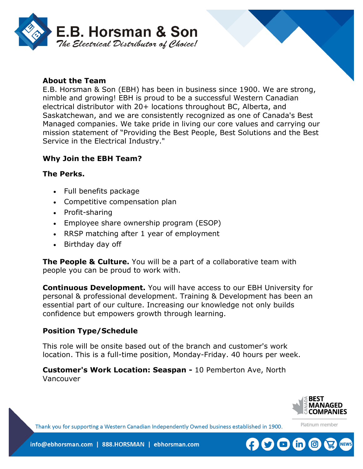

### **About the Team**

E.B. Horsman & Son (EBH) has been in business since 1900. We are strong, nimble and growing! EBH is proud to be a successful Western Canadian electrical distributor with 20+ locations throughout BC, Alberta, and Saskatchewan, and we are consistently recognized as one of Canada's Best Managed companies. We take pride in living our core values and carrying our mission statement of "Providing the Best People, Best Solutions and the Best Service in the Electrical Industry."

### **Why Join the EBH Team?**

#### **The Perks.**

- Full benefits package
- Competitive compensation plan
- Profit-sharing
- Employee share ownership program (ESOP)
- RRSP matching after 1 year of employment
- Birthday day off

**The People & Culture.** You will be a part of a collaborative team with people you can be proud to work with.

**Continuous Development.** You will have access to our EBH University for personal & professional development. Training & Development has been an essential part of our culture. Increasing our knowledge not only builds confidence but empowers growth through learning.

#### **Position Type/Schedule**

This role will be onsite based out of the branch and customer's work location. This is a full-time position, Monday-Friday. 40 hours per week.

**Customer's Work Location: Seaspan -** 10 Pemberton Ave, North Vancouver



Platinum member

Thank you for supporting a Western Canadian Independently Owned business established in 1900.

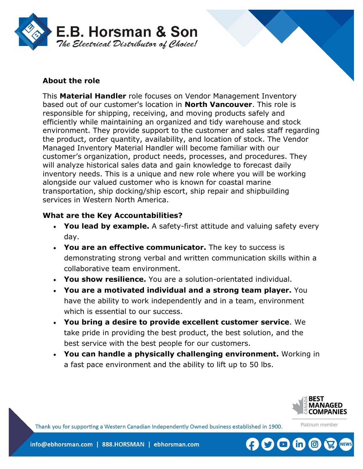

# **About the role**

This **Material Handler** role focuses on Vendor Management Inventory based out of our customer's location in **North Vancouver**. This role is responsible for shipping, receiving, and moving products safely and efficiently while maintaining an organized and tidy warehouse and stock environment. They provide support to the customer and sales staff regarding the product, order quantity, availability, and location of stock. The Vendor Managed Inventory Material Handler will become familiar with our customer's organization, product needs, processes, and procedures. They will analyze historical sales data and gain knowledge to forecast daily inventory needs. This is a unique and new role where you will be working alongside our valued customer who is known for coastal marine transportation, ship docking/ship escort, ship repair and shipbuilding services in Western North America.

#### **What are the Key Accountabilities?**

- **You lead by example.** A safety-first attitude and valuing safety every day.
- **You are an effective communicator.** The key to success is demonstrating strong verbal and written communication skills within a collaborative team environment.
- **You show resilience.** You are a solution-orientated individual.
- **You are a motivated individual and a strong team player.** You have the ability to work independently and in a team, environment which is essential to our success.
- **You bring a desire to provide excellent customer service**. We take pride in providing the best product, the best solution, and the best service with the best people for our customers.
- **You can handle a physically challenging environment.** Working in a fast pace environment and the ability to lift up to 50 lbs.



Platinum member

Thank you for supporting a Western Canadian Independently Owned business established in 1900.

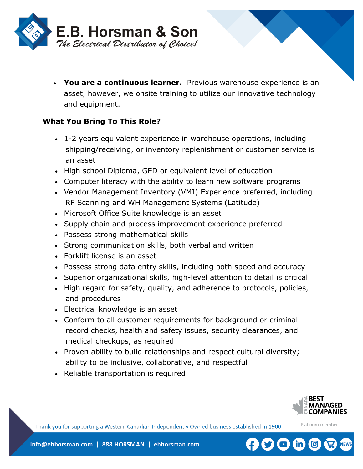

• **You are a continuous learner.** Previous warehouse experience is an asset, however, we onsite training to utilize our innovative technology and equipment.

# **What You Bring To This Role?**

- 1-2 years equivalent experience in warehouse operations, including shipping/receiving, or inventory replenishment or customer service is an asset
- High school Diploma, GED or equivalent level of education
- Computer literacy with the ability to learn new software programs
- Vendor Management Inventory (VMI) Experience preferred, including RF Scanning and WH Management Systems (Latitude)
- Microsoft Office Suite knowledge is an asset
- Supply chain and process improvement experience preferred
- Possess strong mathematical skills
- Strong communication skills, both verbal and written
- Forklift license is an asset
- Possess strong data entry skills, including both speed and accuracy
- Superior organizational skills, high-level attention to detail is critical
- High regard for safety, quality, and adherence to protocols, policies, and procedures
- Electrical knowledge is an asset
- Conform to all customer requirements for background or criminal record checks, health and safety issues, security clearances, and medical checkups, as required
- Proven ability to build relationships and respect cultural diversity; ability to be inclusive, collaborative, and respectful
- Reliable transportation is required



Platinum member

Thank you for supporting a Western Canadian Independently Owned business established in 1900.